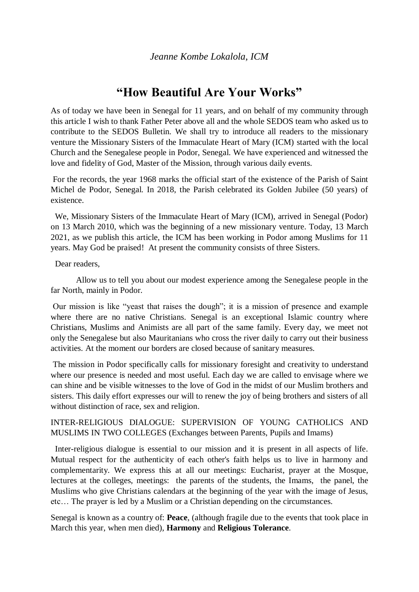# **"How Beautiful Are Your Works"**

As of today we have been in Senegal for 11 years, and on behalf of my community through this article I wish to thank Father Peter above all and the whole SEDOS team who asked us to contribute to the SEDOS Bulletin. We shall try to introduce all readers to the missionary venture the Missionary Sisters of the Immaculate Heart of Mary (ICM) started with the local Church and the Senegalese people in Podor, Senegal. We have experienced and witnessed the love and fidelity of God, Master of the Mission, through various daily events.

For the records, the year 1968 marks the official start of the existence of the Parish of Saint Michel de Podor, Senegal. In 2018, the Parish celebrated its Golden Jubilee (50 years) of existence.

 We, Missionary Sisters of the Immaculate Heart of Mary (ICM), arrived in Senegal (Podor) on 13 March 2010, which was the beginning of a new missionary venture. Today, 13 March 2021, as we publish this article, the ICM has been working in Podor among Muslims for 11 years. May God be praised! At present the community consists of three Sisters.

Dear readers,

Allow us to tell you about our modest experience among the Senegalese people in the far North, mainly in Podor.

Our mission is like "yeast that raises the dough"; it is a mission of presence and example where there are no native Christians. Senegal is an exceptional Islamic country where Christians, Muslims and Animists are all part of the same family. Every day, we meet not only the Senegalese but also Mauritanians who cross the river daily to carry out their business activities. At the moment our borders are closed because of sanitary measures.

The mission in Podor specifically calls for missionary foresight and creativity to understand where our presence is needed and most useful. Each day we are called to envisage where we can shine and be visible witnesses to the love of God in the midst of our Muslim brothers and sisters. This daily effort expresses our will to renew the joy of being brothers and sisters of all without distinction of race, sex and religion.

### INTER-RELIGIOUS DIALOGUE: SUPERVISION OF YOUNG CATHOLICS AND MUSLIMS IN TWO COLLEGES (Exchanges between Parents, Pupils and Imams)

 Inter-religious dialogue is essential to our mission and it is present in all aspects of life. Mutual respect for the authenticity of each other's faith helps us to live in harmony and complementarity. We express this at all our meetings: Eucharist, prayer at the Mosque, lectures at the colleges, meetings: the parents of the students, the Imams, the panel, the Muslims who give Christians calendars at the beginning of the year with the image of Jesus, etc… The prayer is led by a Muslim or a Christian depending on the circumstances.

Senegal is known as a country of: **Peace**, (although fragile due to the events that took place in March this year, when men died), **Harmony** and **Religious Tolerance**.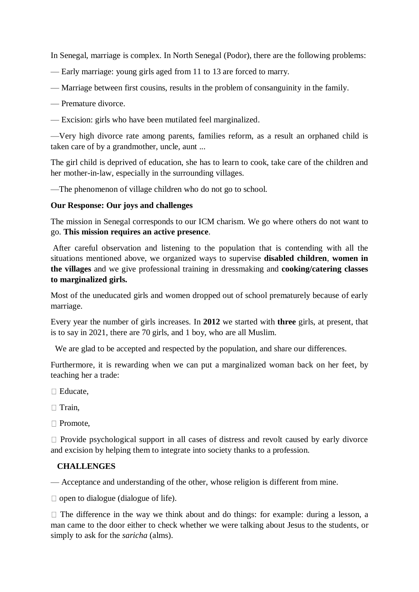In Senegal, marriage is complex. In North Senegal (Podor), there are the following problems:

- Early marriage: young girls aged from 11 to 13 are forced to marry.
- Marriage between first cousins, results in the problem of consanguinity in the family.
- Premature divorce.
- Excision: girls who have been mutilated feel marginalized.

—Very high divorce rate among parents, families reform, as a result an orphaned child is taken care of by a grandmother, uncle, aunt ...

The girl child is deprived of education, she has to learn to cook, take care of the children and her mother-in-law, especially in the surrounding villages.

—The phenomenon of village children who do not go to school.

### **Our Response: Our joys and challenges**

The mission in Senegal corresponds to our ICM charism. We go where others do not want to go. **This mission requires an active presence**.

After careful observation and listening to the population that is contending with all the situations mentioned above, we organized ways to supervise **disabled children**, **women in the villages** and we give professional training in dressmaking and **cooking/catering classes to marginalized girls.**

Most of the uneducated girls and women dropped out of school prematurely because of early marriage.

Every year the number of girls increases. In **2012** we started with **three** girls, at present, that is to say in 2021, there are 70 girls, and 1 boy, who are all Muslim.

We are glad to be accepted and respected by the population, and share our differences.

Furthermore, it is rewarding when we can put a marginalized woman back on her feet, by teaching her a trade:

 $\Box$  Educate

 $\Box$  Train,

□ Promote,

 $\Box$  Provide psychological support in all cases of distress and revolt caused by early divorce and excision by helping them to integrate into society thanks to a profession.

## **CHALLENGES**

— Acceptance and understanding of the other, whose religion is different from mine.

 $\Box$  open to dialogue (dialogue of life).

 $\Box$  The difference in the way we think about and do things: for example: during a lesson, a man came to the door either to check whether we were talking about Jesus to the students, or simply to ask for the *saricha* (alms).